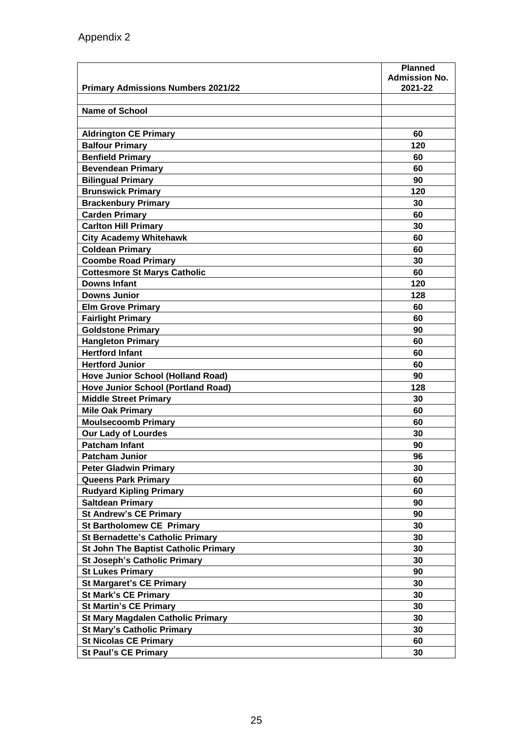| <b>Name of School</b><br><b>Aldrington CE Primary</b><br>60<br><b>Balfour Primary</b><br>120<br><b>Benfield Primary</b><br>60<br><b>Bevendean Primary</b><br>60<br><b>Bilingual Primary</b><br>90<br><b>Brunswick Primary</b><br>120<br><b>Brackenbury Primary</b><br>30<br><b>Carden Primary</b><br>60<br><b>Carlton Hill Primary</b><br>30<br><b>City Academy Whitehawk</b><br>60<br><b>Coldean Primary</b><br>60<br><b>Coombe Road Primary</b><br>30<br><b>Cottesmore St Marys Catholic</b><br>60<br><b>Downs Infant</b><br>120<br><b>Downs Junior</b><br>128<br><b>Elm Grove Primary</b><br>60<br>60<br><b>Fairlight Primary</b><br><b>Goldstone Primary</b><br>90<br><b>Hangleton Primary</b><br>60<br><b>Hertford Infant</b><br>60<br><b>Hertford Junior</b><br>60<br><b>Hove Junior School (Holland Road)</b><br>90<br><b>Hove Junior School (Portland Road)</b><br>128<br><b>Middle Street Primary</b><br>30<br>60<br><b>Mile Oak Primary</b><br><b>Moulsecoomb Primary</b><br>60<br><b>Our Lady of Lourdes</b><br>30<br><b>Patcham Infant</b><br>90<br><b>Patcham Junior</b><br>96<br><b>Peter Gladwin Primary</b><br>30<br><b>Queens Park Primary</b><br>60<br><b>Rudyard Kipling Primary</b><br>60<br>90<br><b>Saltdean Primary</b><br><b>St Andrew's CE Primary</b><br>90<br><b>St Bartholomew CE Primary</b><br>30<br><b>St Bernadette's Catholic Primary</b><br>30<br>30<br><b>St John The Baptist Catholic Primary</b><br><b>St Joseph's Catholic Primary</b><br>30<br>90<br><b>St Lukes Primary</b><br><b>St Margaret's CE Primary</b><br>30<br><b>St Mark's CE Primary</b><br>30<br><b>St Martin's CE Primary</b><br>30<br><b>St Mary Magdalen Catholic Primary</b><br>30<br><b>St Mary's Catholic Primary</b><br>30<br><b>St Nicolas CE Primary</b><br>60<br><b>St Paul's CE Primary</b><br>30 |                                           | <b>Planned</b><br><b>Admission No.</b> |
|------------------------------------------------------------------------------------------------------------------------------------------------------------------------------------------------------------------------------------------------------------------------------------------------------------------------------------------------------------------------------------------------------------------------------------------------------------------------------------------------------------------------------------------------------------------------------------------------------------------------------------------------------------------------------------------------------------------------------------------------------------------------------------------------------------------------------------------------------------------------------------------------------------------------------------------------------------------------------------------------------------------------------------------------------------------------------------------------------------------------------------------------------------------------------------------------------------------------------------------------------------------------------------------------------------------------------------------------------------------------------------------------------------------------------------------------------------------------------------------------------------------------------------------------------------------------------------------------------------------------------------------------------------------------------------------------------------------------------------------------------------------------------------------------------------------|-------------------------------------------|----------------------------------------|
|                                                                                                                                                                                                                                                                                                                                                                                                                                                                                                                                                                                                                                                                                                                                                                                                                                                                                                                                                                                                                                                                                                                                                                                                                                                                                                                                                                                                                                                                                                                                                                                                                                                                                                                                                                                                                  | <b>Primary Admissions Numbers 2021/22</b> | 2021-22                                |
|                                                                                                                                                                                                                                                                                                                                                                                                                                                                                                                                                                                                                                                                                                                                                                                                                                                                                                                                                                                                                                                                                                                                                                                                                                                                                                                                                                                                                                                                                                                                                                                                                                                                                                                                                                                                                  |                                           |                                        |
|                                                                                                                                                                                                                                                                                                                                                                                                                                                                                                                                                                                                                                                                                                                                                                                                                                                                                                                                                                                                                                                                                                                                                                                                                                                                                                                                                                                                                                                                                                                                                                                                                                                                                                                                                                                                                  |                                           |                                        |
|                                                                                                                                                                                                                                                                                                                                                                                                                                                                                                                                                                                                                                                                                                                                                                                                                                                                                                                                                                                                                                                                                                                                                                                                                                                                                                                                                                                                                                                                                                                                                                                                                                                                                                                                                                                                                  |                                           |                                        |
|                                                                                                                                                                                                                                                                                                                                                                                                                                                                                                                                                                                                                                                                                                                                                                                                                                                                                                                                                                                                                                                                                                                                                                                                                                                                                                                                                                                                                                                                                                                                                                                                                                                                                                                                                                                                                  |                                           |                                        |
|                                                                                                                                                                                                                                                                                                                                                                                                                                                                                                                                                                                                                                                                                                                                                                                                                                                                                                                                                                                                                                                                                                                                                                                                                                                                                                                                                                                                                                                                                                                                                                                                                                                                                                                                                                                                                  |                                           |                                        |
|                                                                                                                                                                                                                                                                                                                                                                                                                                                                                                                                                                                                                                                                                                                                                                                                                                                                                                                                                                                                                                                                                                                                                                                                                                                                                                                                                                                                                                                                                                                                                                                                                                                                                                                                                                                                                  |                                           |                                        |
|                                                                                                                                                                                                                                                                                                                                                                                                                                                                                                                                                                                                                                                                                                                                                                                                                                                                                                                                                                                                                                                                                                                                                                                                                                                                                                                                                                                                                                                                                                                                                                                                                                                                                                                                                                                                                  |                                           |                                        |
|                                                                                                                                                                                                                                                                                                                                                                                                                                                                                                                                                                                                                                                                                                                                                                                                                                                                                                                                                                                                                                                                                                                                                                                                                                                                                                                                                                                                                                                                                                                                                                                                                                                                                                                                                                                                                  |                                           |                                        |
|                                                                                                                                                                                                                                                                                                                                                                                                                                                                                                                                                                                                                                                                                                                                                                                                                                                                                                                                                                                                                                                                                                                                                                                                                                                                                                                                                                                                                                                                                                                                                                                                                                                                                                                                                                                                                  |                                           |                                        |
|                                                                                                                                                                                                                                                                                                                                                                                                                                                                                                                                                                                                                                                                                                                                                                                                                                                                                                                                                                                                                                                                                                                                                                                                                                                                                                                                                                                                                                                                                                                                                                                                                                                                                                                                                                                                                  |                                           |                                        |
|                                                                                                                                                                                                                                                                                                                                                                                                                                                                                                                                                                                                                                                                                                                                                                                                                                                                                                                                                                                                                                                                                                                                                                                                                                                                                                                                                                                                                                                                                                                                                                                                                                                                                                                                                                                                                  |                                           |                                        |
|                                                                                                                                                                                                                                                                                                                                                                                                                                                                                                                                                                                                                                                                                                                                                                                                                                                                                                                                                                                                                                                                                                                                                                                                                                                                                                                                                                                                                                                                                                                                                                                                                                                                                                                                                                                                                  |                                           |                                        |
|                                                                                                                                                                                                                                                                                                                                                                                                                                                                                                                                                                                                                                                                                                                                                                                                                                                                                                                                                                                                                                                                                                                                                                                                                                                                                                                                                                                                                                                                                                                                                                                                                                                                                                                                                                                                                  |                                           |                                        |
|                                                                                                                                                                                                                                                                                                                                                                                                                                                                                                                                                                                                                                                                                                                                                                                                                                                                                                                                                                                                                                                                                                                                                                                                                                                                                                                                                                                                                                                                                                                                                                                                                                                                                                                                                                                                                  |                                           |                                        |
|                                                                                                                                                                                                                                                                                                                                                                                                                                                                                                                                                                                                                                                                                                                                                                                                                                                                                                                                                                                                                                                                                                                                                                                                                                                                                                                                                                                                                                                                                                                                                                                                                                                                                                                                                                                                                  |                                           |                                        |
|                                                                                                                                                                                                                                                                                                                                                                                                                                                                                                                                                                                                                                                                                                                                                                                                                                                                                                                                                                                                                                                                                                                                                                                                                                                                                                                                                                                                                                                                                                                                                                                                                                                                                                                                                                                                                  |                                           |                                        |
|                                                                                                                                                                                                                                                                                                                                                                                                                                                                                                                                                                                                                                                                                                                                                                                                                                                                                                                                                                                                                                                                                                                                                                                                                                                                                                                                                                                                                                                                                                                                                                                                                                                                                                                                                                                                                  |                                           |                                        |
|                                                                                                                                                                                                                                                                                                                                                                                                                                                                                                                                                                                                                                                                                                                                                                                                                                                                                                                                                                                                                                                                                                                                                                                                                                                                                                                                                                                                                                                                                                                                                                                                                                                                                                                                                                                                                  |                                           |                                        |
|                                                                                                                                                                                                                                                                                                                                                                                                                                                                                                                                                                                                                                                                                                                                                                                                                                                                                                                                                                                                                                                                                                                                                                                                                                                                                                                                                                                                                                                                                                                                                                                                                                                                                                                                                                                                                  |                                           |                                        |
|                                                                                                                                                                                                                                                                                                                                                                                                                                                                                                                                                                                                                                                                                                                                                                                                                                                                                                                                                                                                                                                                                                                                                                                                                                                                                                                                                                                                                                                                                                                                                                                                                                                                                                                                                                                                                  |                                           |                                        |
|                                                                                                                                                                                                                                                                                                                                                                                                                                                                                                                                                                                                                                                                                                                                                                                                                                                                                                                                                                                                                                                                                                                                                                                                                                                                                                                                                                                                                                                                                                                                                                                                                                                                                                                                                                                                                  |                                           |                                        |
|                                                                                                                                                                                                                                                                                                                                                                                                                                                                                                                                                                                                                                                                                                                                                                                                                                                                                                                                                                                                                                                                                                                                                                                                                                                                                                                                                                                                                                                                                                                                                                                                                                                                                                                                                                                                                  |                                           |                                        |
|                                                                                                                                                                                                                                                                                                                                                                                                                                                                                                                                                                                                                                                                                                                                                                                                                                                                                                                                                                                                                                                                                                                                                                                                                                                                                                                                                                                                                                                                                                                                                                                                                                                                                                                                                                                                                  |                                           |                                        |
|                                                                                                                                                                                                                                                                                                                                                                                                                                                                                                                                                                                                                                                                                                                                                                                                                                                                                                                                                                                                                                                                                                                                                                                                                                                                                                                                                                                                                                                                                                                                                                                                                                                                                                                                                                                                                  |                                           |                                        |
|                                                                                                                                                                                                                                                                                                                                                                                                                                                                                                                                                                                                                                                                                                                                                                                                                                                                                                                                                                                                                                                                                                                                                                                                                                                                                                                                                                                                                                                                                                                                                                                                                                                                                                                                                                                                                  |                                           |                                        |
|                                                                                                                                                                                                                                                                                                                                                                                                                                                                                                                                                                                                                                                                                                                                                                                                                                                                                                                                                                                                                                                                                                                                                                                                                                                                                                                                                                                                                                                                                                                                                                                                                                                                                                                                                                                                                  |                                           |                                        |
|                                                                                                                                                                                                                                                                                                                                                                                                                                                                                                                                                                                                                                                                                                                                                                                                                                                                                                                                                                                                                                                                                                                                                                                                                                                                                                                                                                                                                                                                                                                                                                                                                                                                                                                                                                                                                  |                                           |                                        |
|                                                                                                                                                                                                                                                                                                                                                                                                                                                                                                                                                                                                                                                                                                                                                                                                                                                                                                                                                                                                                                                                                                                                                                                                                                                                                                                                                                                                                                                                                                                                                                                                                                                                                                                                                                                                                  |                                           |                                        |
|                                                                                                                                                                                                                                                                                                                                                                                                                                                                                                                                                                                                                                                                                                                                                                                                                                                                                                                                                                                                                                                                                                                                                                                                                                                                                                                                                                                                                                                                                                                                                                                                                                                                                                                                                                                                                  |                                           |                                        |
|                                                                                                                                                                                                                                                                                                                                                                                                                                                                                                                                                                                                                                                                                                                                                                                                                                                                                                                                                                                                                                                                                                                                                                                                                                                                                                                                                                                                                                                                                                                                                                                                                                                                                                                                                                                                                  |                                           |                                        |
|                                                                                                                                                                                                                                                                                                                                                                                                                                                                                                                                                                                                                                                                                                                                                                                                                                                                                                                                                                                                                                                                                                                                                                                                                                                                                                                                                                                                                                                                                                                                                                                                                                                                                                                                                                                                                  |                                           |                                        |
|                                                                                                                                                                                                                                                                                                                                                                                                                                                                                                                                                                                                                                                                                                                                                                                                                                                                                                                                                                                                                                                                                                                                                                                                                                                                                                                                                                                                                                                                                                                                                                                                                                                                                                                                                                                                                  |                                           |                                        |
|                                                                                                                                                                                                                                                                                                                                                                                                                                                                                                                                                                                                                                                                                                                                                                                                                                                                                                                                                                                                                                                                                                                                                                                                                                                                                                                                                                                                                                                                                                                                                                                                                                                                                                                                                                                                                  |                                           |                                        |
|                                                                                                                                                                                                                                                                                                                                                                                                                                                                                                                                                                                                                                                                                                                                                                                                                                                                                                                                                                                                                                                                                                                                                                                                                                                                                                                                                                                                                                                                                                                                                                                                                                                                                                                                                                                                                  |                                           |                                        |
|                                                                                                                                                                                                                                                                                                                                                                                                                                                                                                                                                                                                                                                                                                                                                                                                                                                                                                                                                                                                                                                                                                                                                                                                                                                                                                                                                                                                                                                                                                                                                                                                                                                                                                                                                                                                                  |                                           |                                        |
|                                                                                                                                                                                                                                                                                                                                                                                                                                                                                                                                                                                                                                                                                                                                                                                                                                                                                                                                                                                                                                                                                                                                                                                                                                                                                                                                                                                                                                                                                                                                                                                                                                                                                                                                                                                                                  |                                           |                                        |
|                                                                                                                                                                                                                                                                                                                                                                                                                                                                                                                                                                                                                                                                                                                                                                                                                                                                                                                                                                                                                                                                                                                                                                                                                                                                                                                                                                                                                                                                                                                                                                                                                                                                                                                                                                                                                  |                                           |                                        |
|                                                                                                                                                                                                                                                                                                                                                                                                                                                                                                                                                                                                                                                                                                                                                                                                                                                                                                                                                                                                                                                                                                                                                                                                                                                                                                                                                                                                                                                                                                                                                                                                                                                                                                                                                                                                                  |                                           |                                        |
|                                                                                                                                                                                                                                                                                                                                                                                                                                                                                                                                                                                                                                                                                                                                                                                                                                                                                                                                                                                                                                                                                                                                                                                                                                                                                                                                                                                                                                                                                                                                                                                                                                                                                                                                                                                                                  |                                           |                                        |
|                                                                                                                                                                                                                                                                                                                                                                                                                                                                                                                                                                                                                                                                                                                                                                                                                                                                                                                                                                                                                                                                                                                                                                                                                                                                                                                                                                                                                                                                                                                                                                                                                                                                                                                                                                                                                  |                                           |                                        |
|                                                                                                                                                                                                                                                                                                                                                                                                                                                                                                                                                                                                                                                                                                                                                                                                                                                                                                                                                                                                                                                                                                                                                                                                                                                                                                                                                                                                                                                                                                                                                                                                                                                                                                                                                                                                                  |                                           |                                        |
|                                                                                                                                                                                                                                                                                                                                                                                                                                                                                                                                                                                                                                                                                                                                                                                                                                                                                                                                                                                                                                                                                                                                                                                                                                                                                                                                                                                                                                                                                                                                                                                                                                                                                                                                                                                                                  |                                           |                                        |
|                                                                                                                                                                                                                                                                                                                                                                                                                                                                                                                                                                                                                                                                                                                                                                                                                                                                                                                                                                                                                                                                                                                                                                                                                                                                                                                                                                                                                                                                                                                                                                                                                                                                                                                                                                                                                  |                                           |                                        |
|                                                                                                                                                                                                                                                                                                                                                                                                                                                                                                                                                                                                                                                                                                                                                                                                                                                                                                                                                                                                                                                                                                                                                                                                                                                                                                                                                                                                                                                                                                                                                                                                                                                                                                                                                                                                                  |                                           |                                        |
|                                                                                                                                                                                                                                                                                                                                                                                                                                                                                                                                                                                                                                                                                                                                                                                                                                                                                                                                                                                                                                                                                                                                                                                                                                                                                                                                                                                                                                                                                                                                                                                                                                                                                                                                                                                                                  |                                           |                                        |
|                                                                                                                                                                                                                                                                                                                                                                                                                                                                                                                                                                                                                                                                                                                                                                                                                                                                                                                                                                                                                                                                                                                                                                                                                                                                                                                                                                                                                                                                                                                                                                                                                                                                                                                                                                                                                  |                                           |                                        |
|                                                                                                                                                                                                                                                                                                                                                                                                                                                                                                                                                                                                                                                                                                                                                                                                                                                                                                                                                                                                                                                                                                                                                                                                                                                                                                                                                                                                                                                                                                                                                                                                                                                                                                                                                                                                                  |                                           |                                        |
|                                                                                                                                                                                                                                                                                                                                                                                                                                                                                                                                                                                                                                                                                                                                                                                                                                                                                                                                                                                                                                                                                                                                                                                                                                                                                                                                                                                                                                                                                                                                                                                                                                                                                                                                                                                                                  |                                           |                                        |
|                                                                                                                                                                                                                                                                                                                                                                                                                                                                                                                                                                                                                                                                                                                                                                                                                                                                                                                                                                                                                                                                                                                                                                                                                                                                                                                                                                                                                                                                                                                                                                                                                                                                                                                                                                                                                  |                                           |                                        |